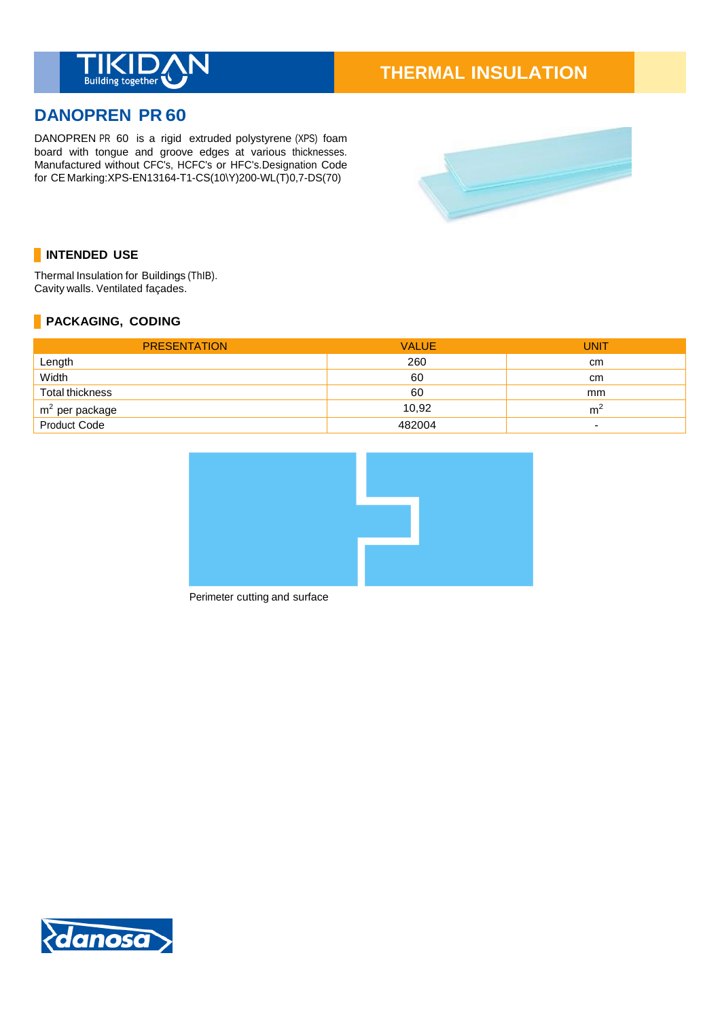

# **THERMAL INSULATION**

## **DANOPREN PR 60**

DANOPREN PR 60 is a rigid extruded polystyrene (XPS) foam board with tongue and groove edges at various thicknesses. Manufactured without CFC's, HCFC's or HFC's.Designation Code for CE Marking:XPS-EN13164-T1-CS(10\Y)200-WL(T)0,7-DS(70)



### **INTENDED USE**

Thermal Insulation for Buildings (ThIB). Cavity walls. Ventilated façades.

#### **PACKAGING, CODING**

| <b>PRESENTATION</b> | <b>VALUE</b> | UNIT                     |
|---------------------|--------------|--------------------------|
| Length              | 260          | cm                       |
| Width               | 60           | cm                       |
| Total thickness     | 60           | mm                       |
| $m2$ per package    | 10.92        | m                        |
| Product Code        | 482004       | $\overline{\phantom{0}}$ |



Perimeter cutting and surface

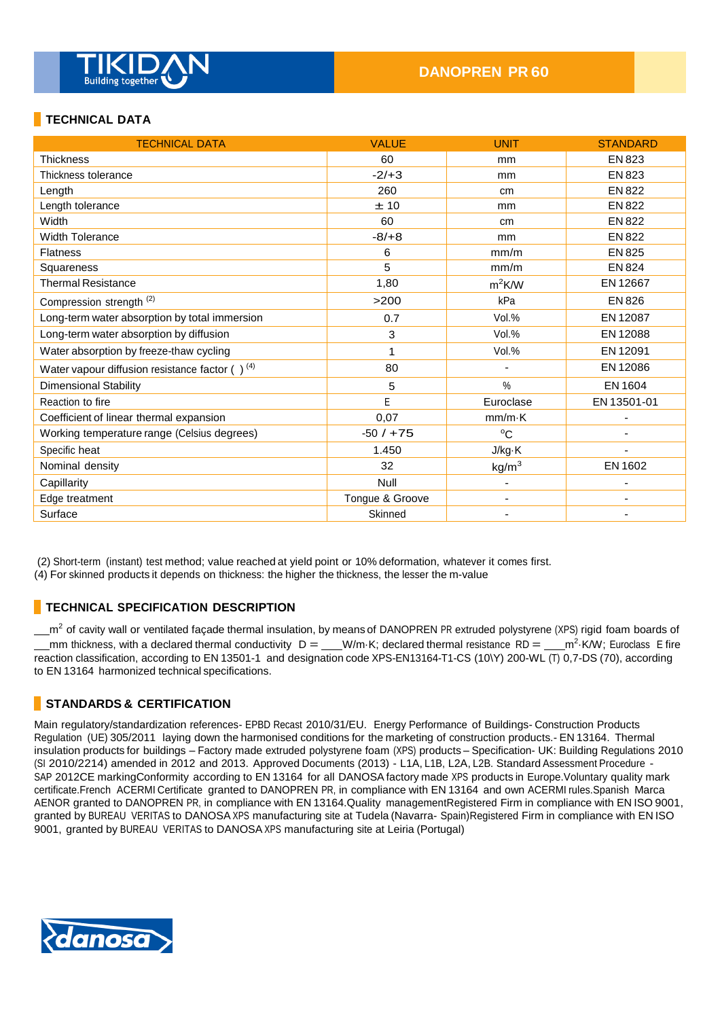

#### **TECHNICAL DATA**

| <b>TECHNICAL DATA</b>                                | <b>VALUE</b>    | <b>UNIT</b>       | <b>STANDARD</b> |
|------------------------------------------------------|-----------------|-------------------|-----------------|
| <b>Thickness</b>                                     | 60              | mm                | EN 823          |
| Thickness tolerance                                  | $-2/+3$         | mm                | <b>EN 823</b>   |
| Length                                               | 260             | cm                | <b>EN 822</b>   |
| Length tolerance                                     | ±10             | mm                | <b>EN 822</b>   |
| Width                                                | 60              | cm                | EN 822          |
| <b>Width Tolerance</b>                               | $-8/ +8$        | mm                | <b>EN 822</b>   |
| <b>Flatness</b>                                      | 6               | mm/m              | <b>EN 825</b>   |
| Squareness                                           | 5               | mm/m              | <b>EN 824</b>   |
| <b>Thermal Resistance</b>                            | 1,80            | $m^2$ K/W         | EN 12667        |
| Compression strength <sup>(2)</sup>                  | >200            | kPa               | <b>EN 826</b>   |
| Long-term water absorption by total immersion        | 0.7             | Vol.%             | EN 12087        |
| Long-term water absorption by diffusion              | 3               | Vol.%             | EN 12088        |
| Water absorption by freeze-thaw cycling              |                 | Vol.%             | EN 12091        |
| Water vapour diffusion resistance factor $( )^{(4)}$ | 80              |                   | EN 12086        |
| <b>Dimensional Stability</b>                         | 5               | %                 | EN 1604         |
| Reaction to fire                                     | E               | Euroclase         | EN 13501-01     |
| Coefficient of linear thermal expansion              | 0,07            | $mm/m\cdot K$     |                 |
| Working temperature range (Celsius degrees)          | $-50/ + 75$     | $^{\circ}C$       |                 |
| Specific heat                                        | 1.450           | J/kg·K            |                 |
| Nominal density                                      | 32              | kg/m <sup>3</sup> | EN 1602         |
| Capillarity                                          | Null            |                   |                 |
| Edge treatment                                       | Tongue & Groove | ٠                 |                 |
| Surface                                              | Skinned         |                   |                 |

(2) Short-term (instant) test method; value reached at yield point or 10% deformation, whatever it comes first.

(4) For skinned products it depends on thickness: the higher the thickness, the lesser the m-value

#### **TECHNICAL SPECIFICATION DESCRIPTION**

 $m^2$  of cavity wall or ventilated façade thermal insulation, by means of DANOPREN PR extruded polystyrene (XPS) rigid foam boards of mm thickness, with a declared thermal conductivity  $D = \underline{\hspace{1cm}} W/m$  K; declared thermal resistance RD =  $\underline{\hspace{1cm}} m^2$  K/W; Euroclass E fire reaction classification, according to EN 13501-1 and designation code XPS-EN13164-T1-CS (10\Y) 200-WL (T) 0,7-DS (70), according to EN 13164 harmonized technical specifications.

#### **STANDARDS & CERTIFICATION**

Main regulatory/standardization references- EPBD Recast 2010/31/EU. Energy Performance of Buildings- Construction Products Regulation (UE) 305/2011 laying down the harmonised conditions for the marketing of construction products.- EN 13164. Thermal insulation products for buildings – Factory made extruded polystyrene foam (XPS) products – Specification- UK: Building Regulations 2010 (SI 2010/2214) amended in 2012 and 2013. Approved Documents (2013) - L1A, L1B, L2A, L2B. Standard Assessment Procedure - SAP 2012CE markingConformity according to EN 13164 for all DANOSA factory made XPS products in Europe.Voluntary quality mark certificate.French ACERMI Certificate granted to DANOPREN PR, in compliance with EN 13164 and own ACERMI rules.Spanish Marca AENOR granted to DANOPREN PR, in compliance with EN 13164.Quality managementRegistered Firm in compliance with EN ISO 9001, granted by BUREAU VERITAS to DANOSA XPS manufacturing site at Tudela (Navarra- Spain)Registered Firm in compliance with EN ISO 9001, granted by BUREAU VERITAS to DANOSA XPS manufacturing site at Leiria (Portugal)

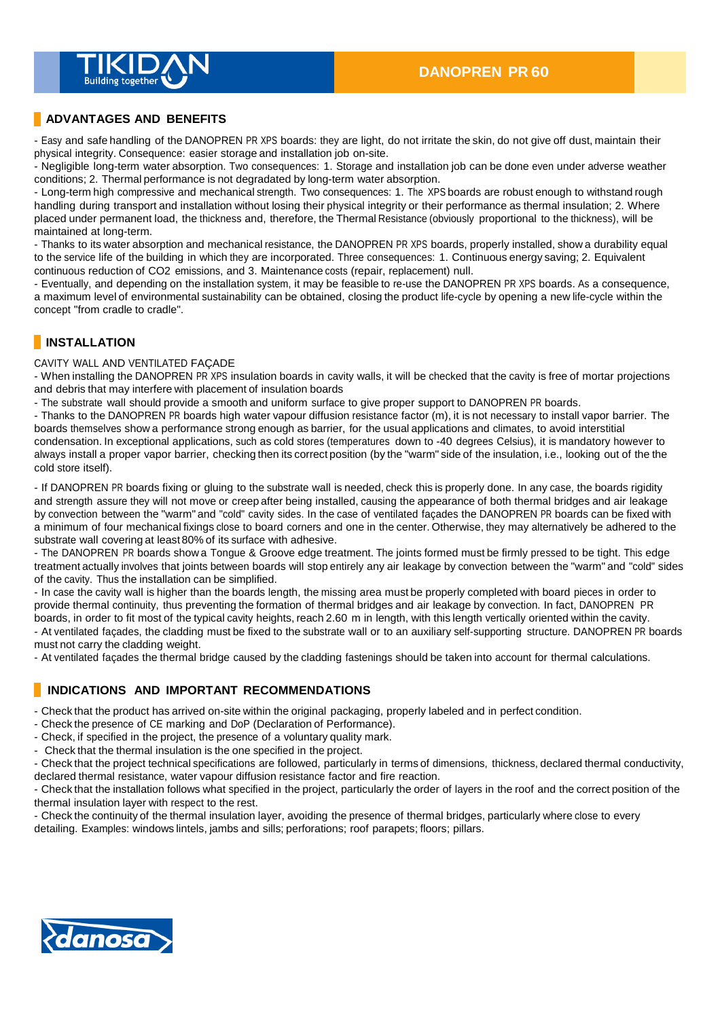

#### **ADVANTAGES AND BENEFITS**

- Easy and safe handling of the DANOPREN PR XPS boards: they are light, do not irritate the skin, do not give off dust, maintain their physical integrity. Consequence: easier storage and installation job on-site.

- Negligible long-term water absorption. Two consequences: 1. Storage and installation job can be done even under adverse weather conditions; 2. Thermal performance is not degradated by long-term water absorption.

- Long-term high compressive and mechanical strength. Two consequences: 1. The XPS boards are robust enough to withstand rough handling during transport and installation without losing their physical integrity or their performance as thermal insulation; 2. Where placed under permanent load, the thickness and, therefore, the Thermal Resistance (obviously proportional to the thickness), will be maintained at long-term.

- Thanks to its water absorption and mechanical resistance, the DANOPREN PR XPS boards, properly installed, show a durability equal to the service life of the building in which they are incorporated. Three consequences: 1. Continuous energy saving; 2. Equivalent continuous reduction of CO2 emissions, and 3. Maintenance costs (repair, replacement) null.

- Eventually, and depending on the installation system, it may be feasible to re-use the DANOPREN PR XPS boards. As a consequence, a maximum level of environmental sustainability can be obtained, closing the product life-cycle by opening a new life-cycle within the concept "from cradle to cradle".

#### **INSTALLATION**

CAVITY WALL AND VENTILATED FAÇADE

- When installing the DANOPREN PR XPS insulation boards in cavity walls, it will be checked that the cavity is free of mortar projections and debris that may interfere with placement of insulation boards

- The substrate wall should provide a smooth and uniform surface to give proper support to DANOPREN PR boards.

- Thanks to the DANOPREN PR boards high water vapour diffusion resistance factor (m), it is not necessary to install vapor barrier. The boards themselves show a performance strong enough as barrier, for the usual applications and climates, to avoid interstitial condensation. In exceptional applications, such as cold stores (temperatures down to -40 degrees Celsius), it is mandatory however to always install a proper vapor barrier, checking then its correct position (by the "warm" side of the insulation, i.e., looking out of the the cold store itself).

- If DANOPREN PR boards fixing or gluing to the substrate wall is needed, check this is properly done. In any case, the boards rigidity and strength assure they will not move or creep after being installed, causing the appearance of both thermal bridges and air leakage by convection between the "warm" and "cold" cavity sides. In the case of ventilated façades the DANOPREN PR boards can be fixed with a minimum of four mechanical fixings close to board corners and one in the center. Otherwise, they may alternatively be adhered to the substrate wall covering at least 80% of its surface with adhesive.

- The DANOPREN PR boards show a Tongue & Groove edge treatment. The joints formed must be firmly pressed to be tight. This edge treatment actually involves that joints between boards will stop entirely any air leakage by convection between the "warm" and "cold" sides of the cavity. Thus the installation can be simplified.

- In case the cavity wall is higher than the boards length, the missing area must be properly completed with board pieces in order to provide thermal continuity, thus preventing the formation of thermal bridges and air leakage by convection. In fact, DANOPREN PR boards, in order to fit most of the typical cavity heights, reach 2.60 m in length, with this length vertically oriented within the cavity. - At ventilated façades, the cladding must be fixed to the substrate wall or to an auxiliary self-supporting structure. DANOPREN PR boards must not carry the cladding weight.

- At ventilated façades the thermal bridge caused by the cladding fastenings should be taken into account for thermal calculations.

#### **INDICATIONS AND IMPORTANT RECOMMENDATIONS**

- Check that the product has arrived on-site within the original packaging, properly labeled and in perfect condition.

- Check the presence of CE marking and DoP (Declaration of Performance).
- Check, if specified in the project, the presence of a voluntary quality mark.
- Check that the thermal insulation is the one specified in the project.

- Check that the project technical specifications are followed, particularly in terms of dimensions, thickness, declared thermal conductivity, declared thermal resistance, water vapour diffusion resistance factor and fire reaction.

- Check that the installation follows what specified in the project, particularly the order of layers in the roof and the correct position of the thermal insulation layer with respect to the rest.

- Check the continuity of the thermal insulation layer, avoiding the presence of thermal bridges, particularly where close to every detailing. Examples: windows lintels, jambs and sills; perforations; roof parapets; floors; pillars.